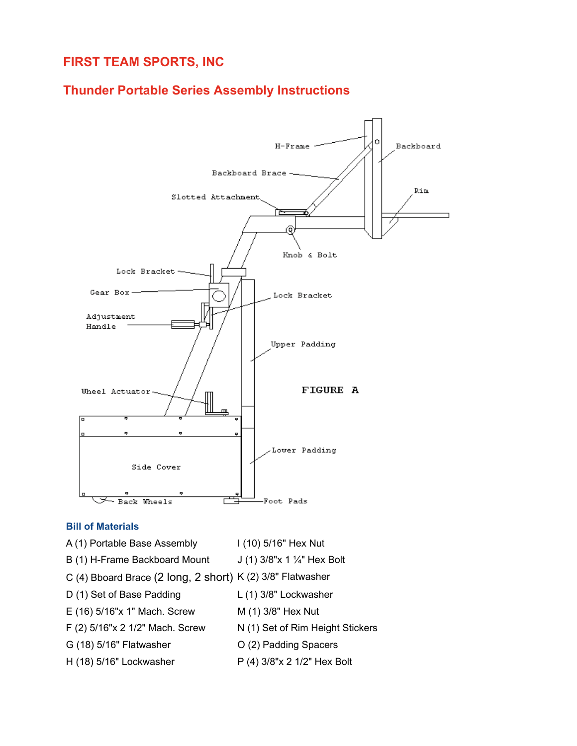# **FIRST TEAM SPORTS, INC**

## **Thunder Portable Series Assembly Instructions**



#### **Bill of Materials**

- A (1) Portable Base Assembly I (10) 5/16" Hex Nut
	-
- B (1) H-Frame Backboard Mount  $J(1)$  3/8"x 1  $\frac{1}{4}$ " Hex Bolt
- C (4) Bboard Brace (2 long, 2 short) K (2) 3/8" Flatwasher
- D (1) Set of Base Padding L (1) 3/8" Lockwasher
- E (16) 5/16"x 1" Mach. Screw M (1) 3/8" Hex Nut
- F (2) 5/16"x 2 1/2" Mach. Screw N (1) Set of Rim Height Stickers
- G (18) 5/16" Flatwasher  $O(2)$  Padding Spacers
- H (18) 5/16" Lockwasher P (4) 3/8"x 2 1/2" Hex Bolt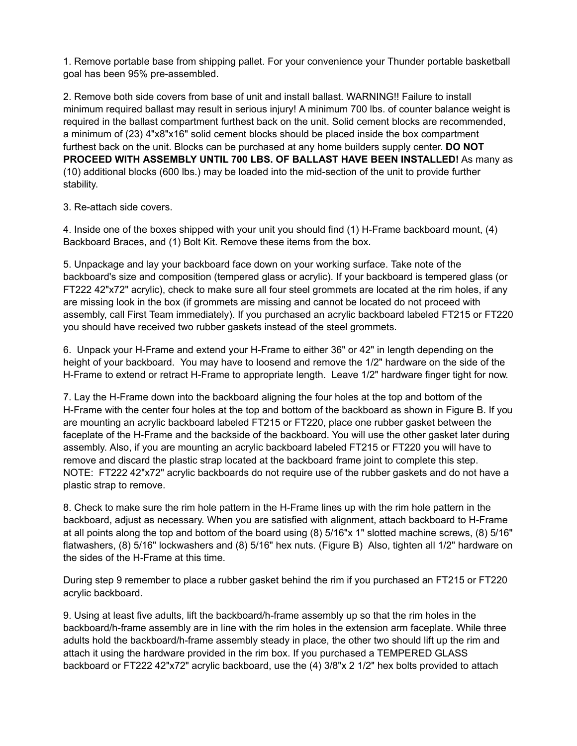1. Remove portable base from shipping pallet. For your convenience your Thunder portable basketball goal has been 95% pre-assembled.

2. Remove both side covers from base of unit and install ballast. WARNING!! Failure to install minimum required ballast may result in serious injury! A minimum 700 lbs. of counter balance weight is required in the ballast compartment furthest back on the unit. Solid cement blocks are recommended, a minimum of (23) 4"x8"x16" solid cement blocks should be placed inside the box compartment furthest back on the unit. Blocks can be purchased at any home builders supply center. **DO NOT PROCEED WITH ASSEMBLY UNTIL 700 LBS. OF BALLAST HAVE BEEN INSTALLED!** As many as (10) additional blocks (600 lbs.) may be loaded into the mid-section of the unit to provide further stability.

3. Re-attach side covers.

4. Inside one of the boxes shipped with your unit you should find (1) H-Frame backboard mount, (4) Backboard Braces, and (1) Bolt Kit. Remove these items from the box.

5. Unpackage and lay your backboard face down on your working surface. Take note of the backboard's size and composition (tempered glass or acrylic). If your backboard is tempered glass (or FT222 42"x72" acrylic), check to make sure all four steel grommets are located at the rim holes, if any are missing look in the box (if grommets are missing and cannot be located do not proceed with assembly, call First Team immediately). If you purchased an acrylic backboard labeled FT215 or FT220 you should have received two rubber gaskets instead of the steel grommets.

6. Unpack your H-Frame and extend your H-Frame to either 36" or 42" in length depending on the height of your backboard. You may have to loosend and remove the 1/2" hardware on the side of the H-Frame to extend or retract H-Frame to appropriate length. Leave 1/2" hardware finger tight for now.

7. Lay the H-Frame down into the backboard aligning the four holes at the top and bottom of the H-Frame with the center four holes at the top and bottom of the backboard as shown in Figure B. If you are mounting an acrylic backboard labeled FT215 or FT220, place one rubber gasket between the faceplate of the H-Frame and the backside of the backboard. You will use the other gasket later during assembly. Also, if you are mounting an acrylic backboard labeled FT215 or FT220 you will have to remove and discard the plastic strap located at the backboard frame joint to complete this step. NOTE: FT222 42"x72" acrylic backboards do not require use of the rubber gaskets and do not have a plastic strap to remove.

8. Check to make sure the rim hole pattern in the H-Frame lines up with the rim hole pattern in the backboard, adjust as necessary. When you are satisfied with alignment, attach backboard to H-Frame at all points along the top and bottom of the board using (8) 5/16"x 1" slotted machine screws, (8) 5/16" flatwashers, (8) 5/16" lockwashers and (8) 5/16" hex nuts. (Figure B) Also, tighten all 1/2" hardware on the sides of the H-Frame at this time.

During step 9 remember to place a rubber gasket behind the rim if you purchased an FT215 or FT220 acrylic backboard.

9. Using at least five adults, lift the backboard/h-frame assembly up so that the rim holes in the backboard/h-frame assembly are in line with the rim holes in the extension arm faceplate. While three adults hold the backboard/h-frame assembly steady in place, the other two should lift up the rim and attach it using the hardware provided in the rim box. If you purchased a TEMPERED GLASS backboard or FT222 42"x72" acrylic backboard, use the (4) 3/8"x 2 1/2" hex bolts provided to attach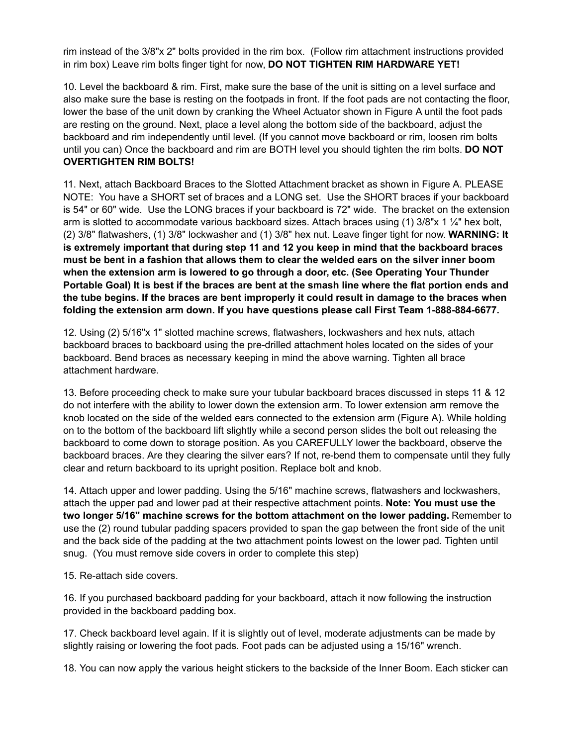rim instead of the 3/8"x 2" bolts provided in the rim box. (Follow rim attachment instructions provided in rim box) Leave rim bolts finger tight for now, **DO NOT TIGHTEN RIM HARDWARE YET!**

10. Level the backboard & rim. First, make sure the base of the unit is sitting on a level surface and also make sure the base is resting on the footpads in front. If the foot pads are not contacting the floor, lower the base of the unit down by cranking the Wheel Actuator shown in Figure A until the foot pads are resting on the ground. Next, place a level along the bottom side of the backboard, adjust the backboard and rim independently until level. (If you cannot move backboard or rim, loosen rim bolts until you can) Once the backboard and rim are BOTH level you should tighten the rim bolts. **DO NOT OVERTIGHTEN RIM BOLTS!**

11. Next, attach Backboard Braces to the Slotted Attachment bracket as shown in Figure A. PLEASE NOTE: You have a SHORT set of braces and a LONG set. Use the SHORT braces if your backboard is 54" or 60" wide. Use the LONG braces if your backboard is 72" wide. The bracket on the extension arm is slotted to accommodate various backboard sizes. Attach braces using  $(1)$  3/8"x 1  $\frac{1}{4}$ " hex bolt, (2) 3/8" flatwashers, (1) 3/8" lockwasher and (1) 3/8" hex nut. Leave finger tight for now. **WARNING: It is extremely important that during step 11 and 12 you keep in mind that the backboard braces must be bent in a fashion that allows them to clear the welded ears on the silver inner boom when the extension arm is lowered to go through a door, etc. (See Operating Your Thunder Portable Goal) It is best if the braces are bent at the smash line where the flat portion ends and the tube begins. If the braces are bent improperly it could result in damage to the braces when folding the extension arm down. If you have questions please call First Team 1-888-884-6677.**

12. Using (2) 5/16"x 1" slotted machine screws, flatwashers, lockwashers and hex nuts, attach backboard braces to backboard using the pre-drilled attachment holes located on the sides of your backboard. Bend braces as necessary keeping in mind the above warning. Tighten all brace attachment hardware.

13. Before proceeding check to make sure your tubular backboard braces discussed in steps 11 & 12 do not interfere with the ability to lower down the extension arm. To lower extension arm remove the knob located on the side of the welded ears connected to the extension arm (Figure A). While holding on to the bottom of the backboard lift slightly while a second person slides the bolt out releasing the backboard to come down to storage position. As you CAREFULLY lower the backboard, observe the backboard braces. Are they clearing the silver ears? If not, re-bend them to compensate until they fully clear and return backboard to its upright position. Replace bolt and knob.

14. Attach upper and lower padding. Using the 5/16" machine screws, flatwashers and lockwashers, attach the upper pad and lower pad at their respective attachment points. **Note: You must use the two longer 5/16" machine screws for the bottom attachment on the lower padding.** Remember to use the (2) round tubular padding spacers provided to span the gap between the front side of the unit and the back side of the padding at the two attachment points lowest on the lower pad. Tighten until snug. (You must remove side covers in order to complete this step)

15. Re-attach side covers.

16. If you purchased backboard padding for your backboard, attach it now following the instruction provided in the backboard padding box.

17. Check backboard level again. If it is slightly out of level, moderate adjustments can be made by slightly raising or lowering the foot pads. Foot pads can be adjusted using a 15/16" wrench.

18. You can now apply the various height stickers to the backside of the Inner Boom. Each sticker can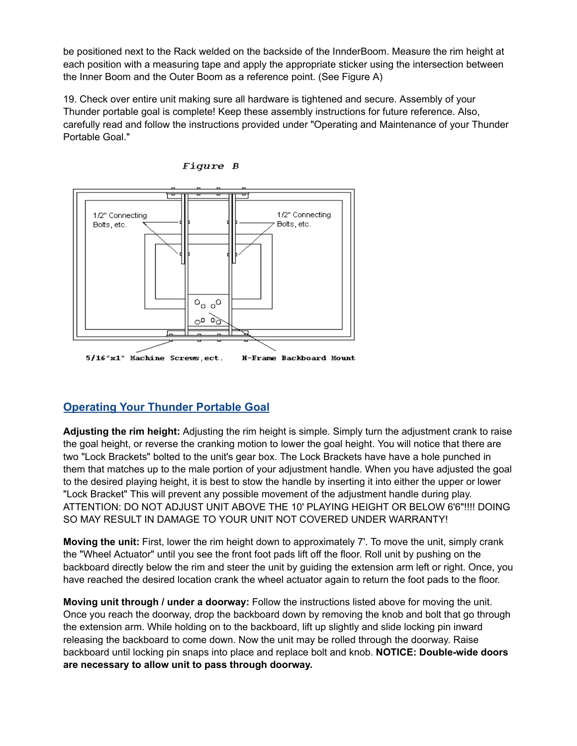be positioned next to the Rack welded on the backside of the InnderBoom. Measure the rim height at each position with a measuring tape and apply the appropriate sticker using the intersection between the Inner Boom and the Outer Boom as a reference point. (See Figure A)

19. Check over entire unit making sure all hardware is tightened and secure. Assembly of your Thunder portable goal is complete! Keep these assembly instructions for future reference. Also, carefully read and follow the instructions provided under "Operating and Maintenance of your Thunder Portable Goal."





## **Operating Your Thunder Portable Goal**

**Adjusting the rim height:** Adjusting the rim height is simple. Simply turn the adjustment crank to raise the goal height, or reverse the cranking motion to lower the goal height. You will notice that there are two "Lock Brackets" bolted to the unit's gear box. The Lock Brackets have have a hole punched in them that matches up to the male portion of your adjustment handle. When you have adjusted the goal to the desired playing height, it is best to stow the handle by inserting it into either the upper or lower "Lock Bracket" This will prevent any possible movement of the adjustment handle during play. ATTENTION: DO NOT ADJUST UNIT ABOVE THE 10' PLAYING HEIGHT OR BELOW 6'6"!!!! DOING SO MAY RESULT IN DAMAGE TO YOUR UNIT NOT COVERED UNDER WARRANTY!

**Moving the unit:** First, lower the rim height down to approximately 7'. To move the unit, simply crank the "Wheel Actuator" until you see the front foot pads lift off the floor. Roll unit by pushing on the backboard directly below the rim and steer the unit by guiding the extension arm left or right. Once, you have reached the desired location crank the wheel actuator again to return the foot pads to the floor.

**Moving unit through / under a doorway:** Follow the instructions listed above for moving the unit. Once you reach the doorway, drop the backboard down by removing the knob and bolt that go through the extension arm. While holding on to the backboard, lift up slightly and slide locking pin inward releasing the backboard to come down. Now the unit may be rolled through the doorway. Raise backboard until locking pin snaps into place and replace bolt and knob. **NOTICE: Double-wide doors are necessary to allow unit to pass through doorway.**